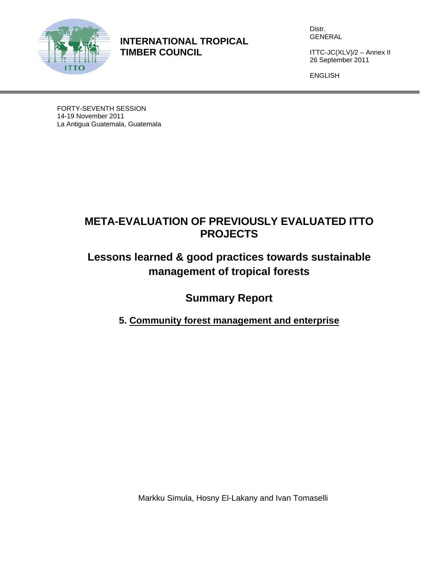

**INTERNATIONAL TROPICAL TIMBER COUNCIL** 

Distr. GENERAL

ITTC-JC(XLV)/2 – Annex II 26 September 2011

ENGLISH

FORTY-SEVENTH SESSION 14-19 November 2011 La Antigua Guatemala, Guatemala

## **META-EVALUATION OF PREVIOUSLY EVALUATED ITTO PROJECTS**

# **Lessons learned & good practices towards sustainable management of tropical forests**

**Summary Report** 

**5. Community forest management and enterprise** 

Markku Simula, Hosny El-Lakany and Ivan Tomaselli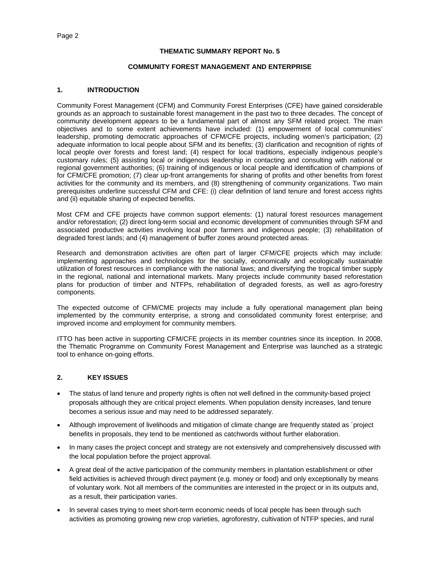#### **THEMATIC SUMMARY REPORT No. 5**

#### **COMMUNITY FOREST MANAGEMENT AND ENTERPRISE**

#### **1. INTRODUCTION**

Community Forest Management (CFM) and Community Forest Enterprises (CFE) have gained considerable grounds as an approach to sustainable forest management in the past two to three decades. The concept of community development appears to be a fundamental part of almost any SFM related project. The main objectives and to some extent achievements have included: (1) empowerment of local communities' leadership, promoting democratic approaches of CFM/CFE projects, including women's participation; (2) adequate information to local people about SFM and its benefits; (3) clarification and recognition of rights of local people over forests and forest land; (4) respect for local traditions, especially indigenous people's customary rules; (5) assisting local or indigenous leadership in contacting and consulting with national or regional government authorities; (6) training of indigenous or local people and identification of champions of for CFM/CFE promotion; (7) clear up-front arrangements for sharing of profits and other benefits from forest activities for the community and its members, and (8) strengthening of community organizations. Two main prerequisites underline successful CFM and CFE: (i) clear definition of land tenure and forest access rights and (ii) equitable sharing of expected benefits.

Most CFM and CFE projects have common support elements: (1) natural forest resources management and/or reforestation; (2) direct long-term social and economic development of communities through SFM and associated productive activities involving local poor farmers and indigenous people; (3) rehabilitation of degraded forest lands; and (4) management of buffer zones around protected areas.

Research and demonstration activities are often part of larger CFM/CFE projects which may include: implementing approaches and technologies for the socially, economically and ecologically sustainable utilization of forest resources in compliance with the national laws; and diversifying the tropical timber supply in the regional, national and international markets. Many projects include community based reforestation plans for production of timber and NTFPs, rehabilitation of degraded forests, as well as agro-forestry components.

The expected outcome of CFM/CME projects may include a fully operational management plan being implemented by the community enterprise, a strong and consolidated community forest enterprise; and improved income and employment for community members.

ITTO has been active in supporting CFM/CFE projects in its member countries since its inception. In 2008, the Thematic Programme on Community Forest Management and Enterprise was launched as a strategic tool to enhance on-going efforts.

## **2. KEY ISSUES**

- The status of land tenure and property rights is often not well defined in the community-based project proposals although they are critical project elements. When population density increases, land tenure becomes a serious issue and may need to be addressed separately.
- Although improvement of livelihoods and mitigation of climate change are frequently stated as ´project benefits in proposals, they tend to be mentioned as catchwords without further elaboration.
- In many cases the project concept and strategy are not extensively and comprehensively discussed with the local population before the project approval.
- A great deal of the active participation of the community members in plantation establishment or other field activities is achieved through direct payment (e.g. money or food) and only exceptionally by means of voluntary work. Not all members of the communities are interested in the project or in its outputs and, as a result, their participation varies.
- In several cases trying to meet short-term economic needs of local people has been through such activities as promoting growing new crop varieties, agroforestry, cultivation of NTFP species, and rural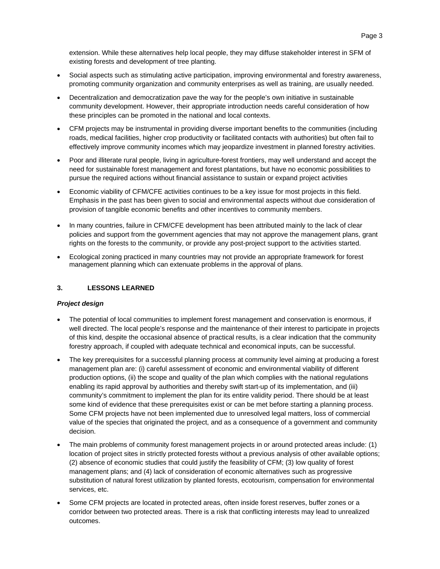- Social aspects such as stimulating active participation, improving environmental and forestry awareness, promoting community organization and community enterprises as well as training, are usually needed.
- Decentralization and democratization pave the way for the people's own initiative in sustainable community development. However, their appropriate introduction needs careful consideration of how these principles can be promoted in the national and local contexts.
- CFM projects may be instrumental in providing diverse important benefits to the communities (including roads, medical facilities, higher crop productivity or facilitated contacts with authorities) but often fail to effectively improve community incomes which may jeopardize investment in planned forestry activities.
- Poor and illiterate rural people, living in agriculture-forest frontiers, may well understand and accept the need for sustainable forest management and forest plantations, but have no economic possibilities to pursue the required actions without financial assistance to sustain or expand project activities
- Economic viability of CFM/CFE activities continues to be a key issue for most projects in this field. Emphasis in the past has been given to social and environmental aspects without due consideration of provision of tangible economic benefits and other incentives to community members.
- In many countries, failure in CFM/CFE development has been attributed mainly to the lack of clear policies and support from the government agencies that may not approve the management plans, grant rights on the forests to the community, or provide any post-project support to the activities started.
- Ecological zoning practiced in many countries may not provide an appropriate framework for forest management planning which can extenuate problems in the approval of plans.

## **3. LESSONS LEARNED**

## *Project design*

- The potential of local communities to implement forest management and conservation is enormous, if well directed. The local people's response and the maintenance of their interest to participate in projects of this kind, despite the occasional absence of practical results, is a clear indication that the community forestry approach, if coupled with adequate technical and economical inputs, can be successful.
- The key prerequisites for a successful planning process at community level aiming at producing a forest management plan are: (i) careful assessment of economic and environmental viability of different production options, (ii) the scope and quality of the plan which complies with the national regulations enabling its rapid approval by authorities and thereby swift start-up of its implementation, and (iii) community's commitment to implement the plan for its entire validity period. There should be at least some kind of evidence that these prerequisites exist or can be met before starting a planning process. Some CFM projects have not been implemented due to unresolved legal matters, loss of commercial value of the species that originated the project, and as a consequence of a government and community decision.
- The main problems of community forest management projects in or around protected areas include: (1) location of project sites in strictly protected forests without a previous analysis of other available options; (2) absence of economic studies that could justify the feasibility of CFM; (3) low quality of forest management plans; and (4) lack of consideration of economic alternatives such as progressive substitution of natural forest utilization by planted forests, ecotourism, compensation for environmental services, etc.
- Some CFM projects are located in protected areas, often inside forest reserves, buffer zones or a corridor between two protected areas. There is a risk that conflicting interests may lead to unrealized outcomes.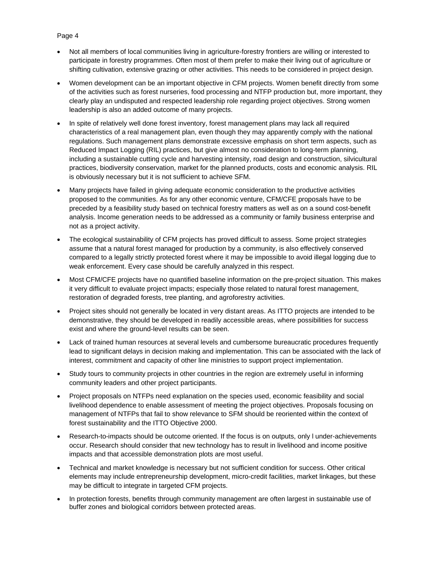- Not all members of local communities living in agriculture-forestry frontiers are willing or interested to participate in forestry programmes. Often most of them prefer to make their living out of agriculture or shifting cultivation, extensive grazing or other activities. This needs to be considered in project design.
- Women development can be an important objective in CFM projects. Women benefit directly from some of the activities such as forest nurseries, food processing and NTFP production but, more important, they clearly play an undisputed and respected leadership role regarding project objectives. Strong women leadership is also an added outcome of many projects.
- In spite of relatively well done forest inventory, forest management plans may lack all required characteristics of a real management plan, even though they may apparently comply with the national regulations. Such management plans demonstrate excessive emphasis on short term aspects, such as Reduced Impact Logging (RIL) practices, but give almost no consideration to long-term planning, including a sustainable cutting cycle and harvesting intensity, road design and construction, silvicultural practices, biodiversity conservation, market for the planned products, costs and economic analysis. RIL is obviously necessary but it is not sufficient to achieve SFM.
- Many projects have failed in giving adequate economic consideration to the productive activities proposed to the communities. As for any other economic venture, CFM/CFE proposals have to be preceded by a feasibility study based on technical forestry matters as well as on a sound cost-benefit analysis. Income generation needs to be addressed as a community or family business enterprise and not as a project activity.
- The ecological sustainability of CFM projects has proved difficult to assess. Some project strategies assume that a natural forest managed for production by a community, is also effectively conserved compared to a legally strictly protected forest where it may be impossible to avoid illegal logging due to weak enforcement. Every case should be carefully analyzed in this respect.
- Most CFM/CFE projects have no quantified baseline information on the pre-project situation. This makes it very difficult to evaluate project impacts; especially those related to natural forest management, restoration of degraded forests, tree planting, and agroforestry activities.
- Project sites should not generally be located in very distant areas. As ITTO projects are intended to be demonstrative, they should be developed in readily accessible areas, where possibilities for success exist and where the ground-level results can be seen.
- Lack of trained human resources at several levels and cumbersome bureaucratic procedures frequently lead to significant delays in decision making and implementation. This can be associated with the lack of interest, commitment and capacity of other line ministries to support project implementation.
- Study tours to community projects in other countries in the region are extremely useful in informing community leaders and other project participants.
- Project proposals on NTFPs need explanation on the species used, economic feasibility and social livelihood dependence to enable assessment of meeting the project objectives. Proposals focusing on management of NTFPs that fail to show relevance to SFM should be reoriented within the context of forest sustainability and the ITTO Objective 2000.
- Research-to-impacts should be outcome oriented. If the focus is on outputs, only l under-achievements occur. Research should consider that new technology has to result in livelihood and income positive impacts and that accessible demonstration plots are most useful.
- Technical and market knowledge is necessary but not sufficient condition for success. Other critical elements may include entrepreneurship development, micro-credit facilities, market linkages, but these may be difficult to integrate in targeted CFM projects.
- In protection forests, benefits through community management are often largest in sustainable use of buffer zones and biological corridors between protected areas.

## Page 4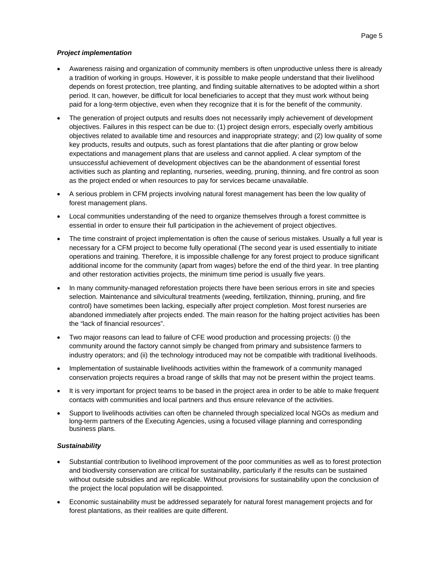#### *Project implementation*

- Awareness raising and organization of community members is often unproductive unless there is already a tradition of working in groups. However, it is possible to make people understand that their livelihood depends on forest protection, tree planting, and finding suitable alternatives to be adopted within a short period. It can, however, be difficult for local beneficiaries to accept that they must work without being paid for a long-term objective, even when they recognize that it is for the benefit of the community.
- The generation of project outputs and results does not necessarily imply achievement of development objectives. Failures in this respect can be due to: (1) project design errors, especially overly ambitious objectives related to available time and resources and inappropriate strategy; and (2) low quality of some key products, results and outputs, such as forest plantations that die after planting or grow below expectations and management plans that are useless and cannot applied. A clear symptom of the unsuccessful achievement of development objectives can be the abandonment of essential forest activities such as planting and replanting, nurseries, weeding, pruning, thinning, and fire control as soon as the project ended or when resources to pay for services became unavailable.
- A serious problem in CFM projects involving natural forest management has been the low quality of forest management plans.
- Local communities understanding of the need to organize themselves through a forest committee is essential in order to ensure their full participation in the achievement of project objectives.
- The time constraint of project implementation is often the cause of serious mistakes. Usually a full year is necessary for a CFM project to become fully operational (The second year is used essentially to initiate operations and training. Therefore, it is impossible challenge for any forest project to produce significant additional income for the community (apart from wages) before the end of the third year. In tree planting and other restoration activities projects, the minimum time period is usually five years.
- In many community-managed reforestation projects there have been serious errors in site and species selection. Maintenance and silvicultural treatments (weeding, fertilization, thinning, pruning, and fire control) have sometimes been lacking, especially after project completion. Most forest nurseries are abandoned immediately after projects ended. The main reason for the halting project activities has been the "lack of financial resources".
- Two major reasons can lead to failure of CFE wood production and processing projects: (i) the community around the factory cannot simply be changed from primary and subsistence farmers to industry operators; and (ii) the technology introduced may not be compatible with traditional livelihoods.
- Implementation of sustainable livelihoods activities within the framework of a community managed conservation projects requires a broad range of skills that may not be present within the project teams.
- It is very important for project teams to be based in the project area in order to be able to make frequent contacts with communities and local partners and thus ensure relevance of the activities.
- Support to livelihoods activities can often be channeled through specialized local NGOs as medium and long-term partners of the Executing Agencies, using a focused village planning and corresponding business plans.

#### *Sustainability*

- Substantial contribution to livelihood improvement of the poor communities as well as to forest protection and biodiversity conservation are critical for sustainability, particularly if the results can be sustained without outside subsidies and are replicable. Without provisions for sustainability upon the conclusion of the project the local population will be disappointed.
- Economic sustainability must be addressed separately for natural forest management projects and for forest plantations, as their realities are quite different.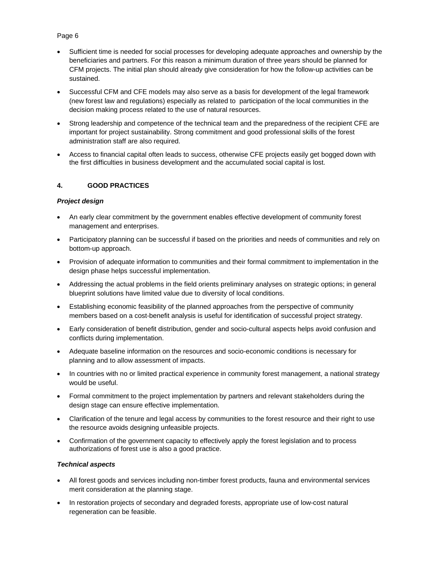## Page 6

- Sufficient time is needed for social processes for developing adequate approaches and ownership by the beneficiaries and partners. For this reason a minimum duration of three years should be planned for CFM projects. The initial plan should already give consideration for how the follow-up activities can be sustained.
- Successful CFM and CFE models may also serve as a basis for development of the legal framework (new forest law and regulations) especially as related to participation of the local communities in the decision making process related to the use of natural resources.
- Strong leadership and competence of the technical team and the preparedness of the recipient CFE are important for project sustainability. Strong commitment and good professional skills of the forest administration staff are also required.
- Access to financial capital often leads to success, otherwise CFE projects easily get bogged down with the first difficulties in business development and the accumulated social capital is lost.

## **4. GOOD PRACTICES**

## *Project design*

- An early clear commitment by the government enables effective development of community forest management and enterprises.
- Participatory planning can be successful if based on the priorities and needs of communities and rely on bottom-up approach.
- Provision of adequate information to communities and their formal commitment to implementation in the design phase helps successful implementation.
- Addressing the actual problems in the field orients preliminary analyses on strategic options; in general blueprint solutions have limited value due to diversity of local conditions.
- Establishing economic feasibility of the planned approaches from the perspective of community members based on a cost-benefit analysis is useful for identification of successful project strategy.
- Early consideration of benefit distribution, gender and socio-cultural aspects helps avoid confusion and conflicts during implementation.
- Adequate baseline information on the resources and socio-economic conditions is necessary for planning and to allow assessment of impacts.
- In countries with no or limited practical experience in community forest management, a national strategy would be useful.
- Formal commitment to the project implementation by partners and relevant stakeholders during the design stage can ensure effective implementation.
- Clarification of the tenure and legal access by communities to the forest resource and their right to use the resource avoids designing unfeasible projects.
- Confirmation of the government capacity to effectively apply the forest legislation and to process authorizations of forest use is also a good practice.

## *Technical aspects*

- All forest goods and services including non-timber forest products, fauna and environmental services merit consideration at the planning stage.
- In restoration projects of secondary and degraded forests, appropriate use of low-cost natural regeneration can be feasible.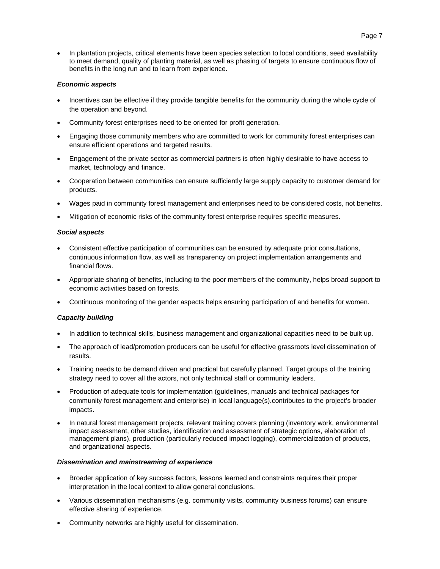In plantation projects, critical elements have been species selection to local conditions, seed availability to meet demand, quality of planting material, as well as phasing of targets to ensure continuous flow of benefits in the long run and to learn from experience.

#### *Economic aspects*

- Incentives can be effective if they provide tangible benefits for the community during the whole cycle of the operation and beyond.
- Community forest enterprises need to be oriented for profit generation.
- Engaging those community members who are committed to work for community forest enterprises can ensure efficient operations and targeted results.
- Engagement of the private sector as commercial partners is often highly desirable to have access to market, technology and finance.
- Cooperation between communities can ensure sufficiently large supply capacity to customer demand for products.
- Wages paid in community forest management and enterprises need to be considered costs, not benefits.
- Mitigation of economic risks of the community forest enterprise requires specific measures.

#### *Social aspects*

- Consistent effective participation of communities can be ensured by adequate prior consultations, continuous information flow, as well as transparency on project implementation arrangements and financial flows.
- Appropriate sharing of benefits, including to the poor members of the community, helps broad support to economic activities based on forests.
- Continuous monitoring of the gender aspects helps ensuring participation of and benefits for women.

## *Capacity building*

- In addition to technical skills, business management and organizational capacities need to be built up.
- The approach of lead/promotion producers can be useful for effective grassroots level dissemination of results.
- Training needs to be demand driven and practical but carefully planned. Target groups of the training strategy need to cover all the actors, not only technical staff or community leaders.
- Production of adequate tools for implementation (guidelines, manuals and technical packages for community forest management and enterprise) in local language(s).contributes to the project's broader impacts.
- In natural forest management projects, relevant training covers planning (inventory work, environmental impact assessment, other studies, identification and assessment of strategic options, elaboration of management plans), production (particularly reduced impact logging), commercialization of products, and organizational aspects.

#### *Dissemination and mainstreaming of experience*

- Broader application of key success factors, lessons learned and constraints requires their proper interpretation in the local context to allow general conclusions.
- Various dissemination mechanisms (e.g. community visits, community business forums) can ensure effective sharing of experience.
- Community networks are highly useful for dissemination.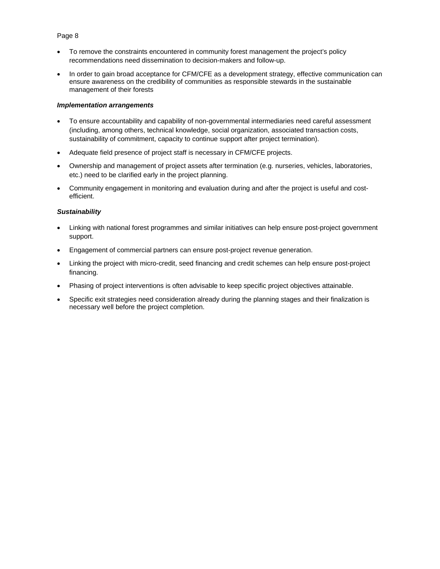## Page 8

- To remove the constraints encountered in community forest management the project's policy recommendations need dissemination to decision-makers and follow-up.
- In order to gain broad acceptance for CFM/CFE as a development strategy, effective communication can ensure awareness on the credibility of communities as responsible stewards in the sustainable management of their forests

#### *Implementation arrangements*

- To ensure accountability and capability of non-governmental intermediaries need careful assessment (including, among others, technical knowledge, social organization, associated transaction costs, sustainability of commitment, capacity to continue support after project termination).
- Adequate field presence of project staff is necessary in CFM/CFE projects.
- Ownership and management of project assets after termination (e.g. nurseries, vehicles, laboratories, etc.) need to be clarified early in the project planning.
- Community engagement in monitoring and evaluation during and after the project is useful and costefficient.

#### *Sustainability*

- Linking with national forest programmes and similar initiatives can help ensure post-project government support.
- Engagement of commercial partners can ensure post-project revenue generation.
- Linking the project with micro-credit, seed financing and credit schemes can help ensure post-project financing.
- Phasing of project interventions is often advisable to keep specific project objectives attainable.
- Specific exit strategies need consideration already during the planning stages and their finalization is necessary well before the project completion.